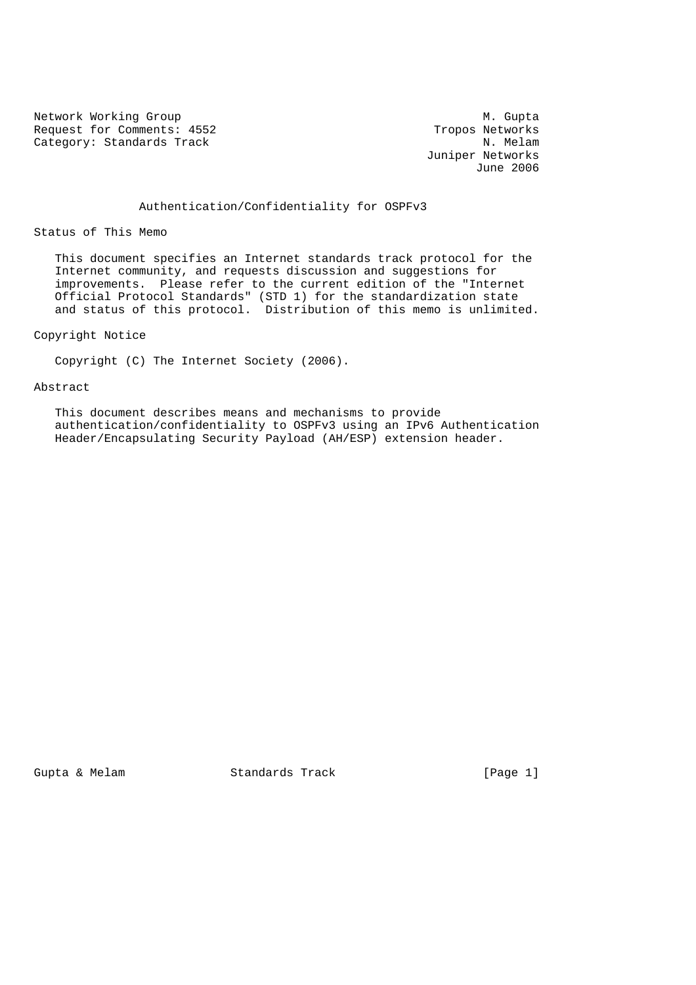Network Working Group<br>Request for Comments: 4552 M. Gupta Request for Comments: 4552<br>
Category: Standards Track<br>
N. Melam Category: Standards Track

 Juniper Networks June 2006

Authentication/Confidentiality for OSPFv3

Status of This Memo

 This document specifies an Internet standards track protocol for the Internet community, and requests discussion and suggestions for improvements. Please refer to the current edition of the "Internet Official Protocol Standards" (STD 1) for the standardization state and status of this protocol. Distribution of this memo is unlimited.

## Copyright Notice

Copyright (C) The Internet Society (2006).

#### Abstract

 This document describes means and mechanisms to provide authentication/confidentiality to OSPFv3 using an IPv6 Authentication Header/Encapsulating Security Payload (AH/ESP) extension header.

Gupta & Melam Standards Track (Page 1)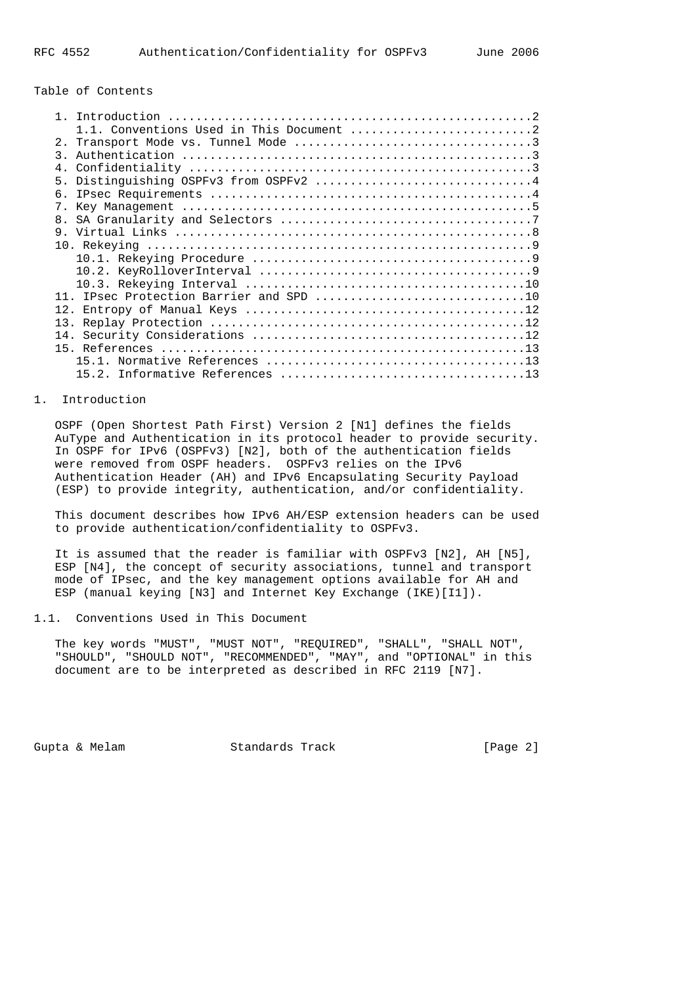Table of Contents

| $\mathcal{R}$ |
|---------------|
| 4.            |
| 5             |
| б.            |
| $7_{\circ}$   |
|               |
| 8.            |
|               |
|               |
|               |
|               |
|               |
|               |
|               |
| 13.           |
|               |
|               |
|               |
|               |
| 152           |
|               |

# 1. Introduction

 OSPF (Open Shortest Path First) Version 2 [N1] defines the fields AuType and Authentication in its protocol header to provide security. In OSPF for IPv6 (OSPFv3) [N2], both of the authentication fields were removed from OSPF headers. OSPFv3 relies on the IPv6 Authentication Header (AH) and IPv6 Encapsulating Security Payload (ESP) to provide integrity, authentication, and/or confidentiality.

 This document describes how IPv6 AH/ESP extension headers can be used to provide authentication/confidentiality to OSPFv3.

 It is assumed that the reader is familiar with OSPFv3 [N2], AH [N5], ESP [N4], the concept of security associations, tunnel and transport mode of IPsec, and the key management options available for AH and ESP (manual keying [N3] and Internet Key Exchange (IKE)[I1]).

1.1. Conventions Used in This Document

 The key words "MUST", "MUST NOT", "REQUIRED", "SHALL", "SHALL NOT", "SHOULD", "SHOULD NOT", "RECOMMENDED", "MAY", and "OPTIONAL" in this document are to be interpreted as described in RFC 2119 [N7].

Gupta & Melam Standards Track [Page 2]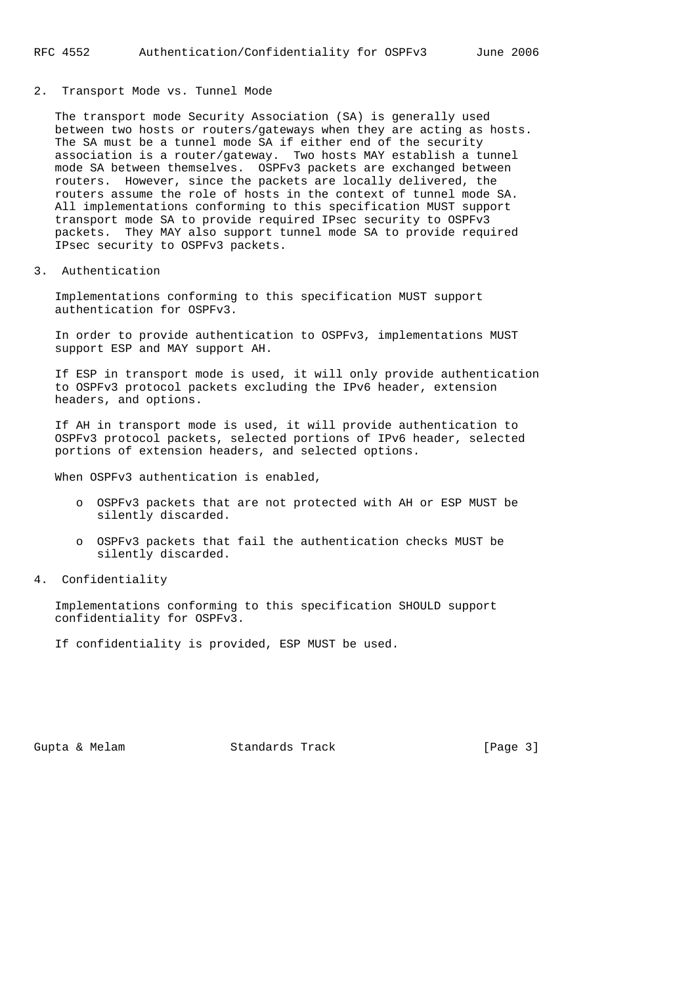## 2. Transport Mode vs. Tunnel Mode

 The transport mode Security Association (SA) is generally used between two hosts or routers/gateways when they are acting as hosts. The SA must be a tunnel mode SA if either end of the security association is a router/gateway. Two hosts MAY establish a tunnel mode SA between themselves. OSPFv3 packets are exchanged between routers. However, since the packets are locally delivered, the routers assume the role of hosts in the context of tunnel mode SA. All implementations conforming to this specification MUST support transport mode SA to provide required IPsec security to OSPFv3 packets. They MAY also support tunnel mode SA to provide required IPsec security to OSPFv3 packets.

3. Authentication

 Implementations conforming to this specification MUST support authentication for OSPFv3.

 In order to provide authentication to OSPFv3, implementations MUST support ESP and MAY support AH.

 If ESP in transport mode is used, it will only provide authentication to OSPFv3 protocol packets excluding the IPv6 header, extension headers, and options.

 If AH in transport mode is used, it will provide authentication to OSPFv3 protocol packets, selected portions of IPv6 header, selected portions of extension headers, and selected options.

When OSPFv3 authentication is enabled,

- o OSPFv3 packets that are not protected with AH or ESP MUST be silently discarded.
- o OSPFv3 packets that fail the authentication checks MUST be silently discarded.
- 4. Confidentiality

 Implementations conforming to this specification SHOULD support confidentiality for OSPFv3.

If confidentiality is provided, ESP MUST be used.

Gupta & Melam Standards Track [Page 3]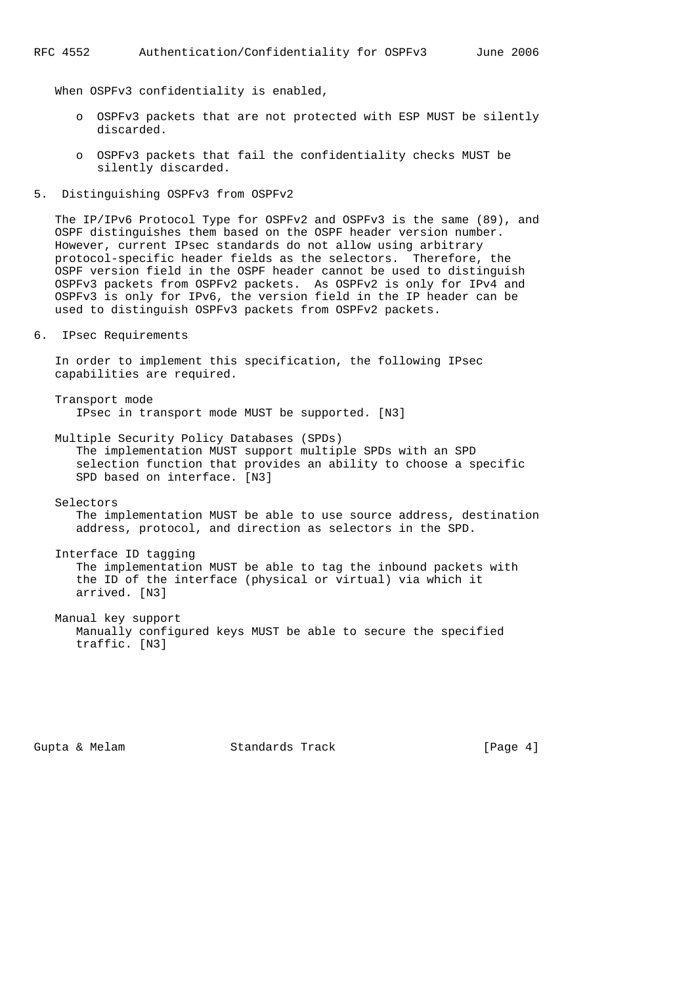#### RFC 4552 Authentication/Confidentiality for OSPFv3 June 2006

When OSPFv3 confidentiality is enabled,

- o OSPFv3 packets that are not protected with ESP MUST be silently discarded.
- o OSPFv3 packets that fail the confidentiality checks MUST be silently discarded.
- 5. Distinguishing OSPFv3 from OSPFv2

 The IP/IPv6 Protocol Type for OSPFv2 and OSPFv3 is the same (89), and OSPF distinguishes them based on the OSPF header version number. However, current IPsec standards do not allow using arbitrary protocol-specific header fields as the selectors. Therefore, the OSPF version field in the OSPF header cannot be used to distinguish OSPFv3 packets from OSPFv2 packets. As OSPFv2 is only for IPv4 and OSPFv3 is only for IPv6, the version field in the IP header can be used to distinguish OSPFv3 packets from OSPFv2 packets.

6. IPsec Requirements

 In order to implement this specification, the following IPsec capabilities are required.

 Transport mode IPsec in transport mode MUST be supported. [N3]

 Multiple Security Policy Databases (SPDs) The implementation MUST support multiple SPDs with an SPD selection function that provides an ability to choose a specific SPD based on interface. [N3]

Selectors

 The implementation MUST be able to use source address, destination address, protocol, and direction as selectors in the SPD.

 Interface ID tagging The implementation MUST be able to tag the inbound packets with the ID of the interface (physical or virtual) via which it arrived. [N3]

 Manual key support Manually configured keys MUST be able to secure the specified traffic. [N3]

Gupta & Melam Standards Track [Page 4]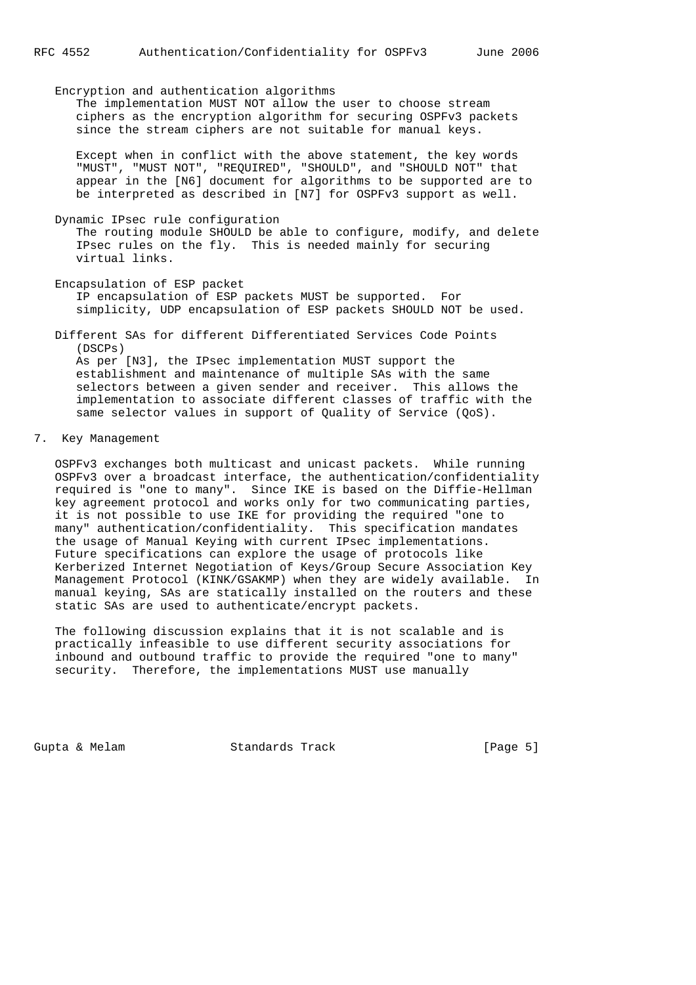Encryption and authentication algorithms The implementation MUST NOT allow the user to choose stream ciphers as the encryption algorithm for securing OSPFv3 packets since the stream ciphers are not suitable for manual keys. Except when in conflict with the above statement, the key words "MUST", "MUST NOT", "REQUIRED", "SHOULD", and "SHOULD NOT" that appear in the [N6] document for algorithms to be supported are to be interpreted as described in [N7] for OSPFv3 support as well. Dynamic IPsec rule configuration The routing module SHOULD be able to configure, modify, and delete IPsec rules on the fly. This is needed mainly for securing

 Encapsulation of ESP packet IP encapsulation of ESP packets MUST be supported. For simplicity, UDP encapsulation of ESP packets SHOULD NOT be used.

 Different SAs for different Differentiated Services Code Points (DSCPs) As per [N3], the IPsec implementation MUST support the establishment and maintenance of multiple SAs with the same selectors between a given sender and receiver. This allows the implementation to associate different classes of traffic with the same selector values in support of Quality of Service (QoS).

7. Key Management

virtual links.

 OSPFv3 exchanges both multicast and unicast packets. While running OSPFv3 over a broadcast interface, the authentication/confidentiality required is "one to many". Since IKE is based on the Diffie-Hellman key agreement protocol and works only for two communicating parties, it is not possible to use IKE for providing the required "one to many" authentication/confidentiality. This specification mandates the usage of Manual Keying with current IPsec implementations. Future specifications can explore the usage of protocols like Kerberized Internet Negotiation of Keys/Group Secure Association Key Management Protocol (KINK/GSAKMP) when they are widely available. In manual keying, SAs are statically installed on the routers and these static SAs are used to authenticate/encrypt packets.

 The following discussion explains that it is not scalable and is practically infeasible to use different security associations for inbound and outbound traffic to provide the required "one to many" security. Therefore, the implementations MUST use manually

Gupta & Melam Standards Track (Page 5)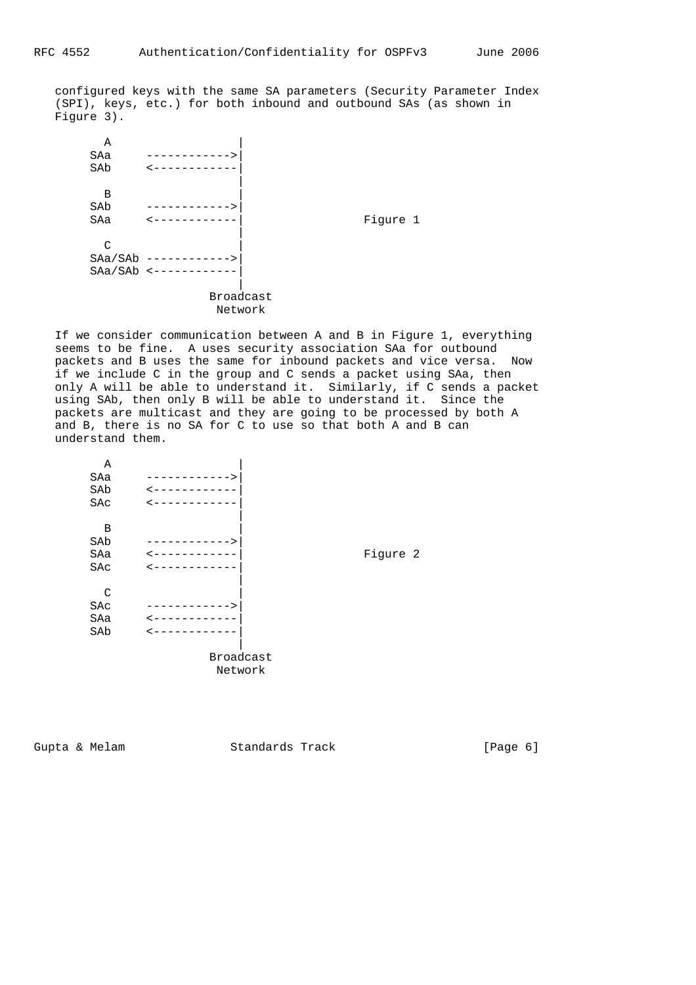configured keys with the same SA parameters (Security Parameter Index (SPI), keys, etc.) for both inbound and outbound SAs (as shown in Figure 3).

| Α       |   |                  |          |
|---------|---|------------------|----------|
| SAa     |   |                  |          |
| SAb     |   |                  |          |
|         |   |                  |          |
| В       |   |                  |          |
| SAb     |   |                  |          |
| SAa     |   |                  | Figure 1 |
|         |   |                  |          |
| C       |   |                  |          |
| SAa/SAb |   |                  |          |
| SAa/SAb | ✓ |                  |          |
|         |   |                  |          |
|         |   | <b>Broadcast</b> |          |
|         |   | Network          |          |
|         |   |                  |          |

 If we consider communication between A and B in Figure 1, everything seems to be fine. A uses security association SAa for outbound packets and B uses the same for inbound packets and vice versa. Now if we include C in the group and C sends a packet using SAa, then only A will be able to understand it. Similarly, if C sends a packet using SAb, then only B will be able to understand it. Since the packets are multicast and they are going to be processed by both A and B, there is no SA for C to use so that both A and B can understand them.

| Α   |    |           |
|-----|----|-----------|
| SAa | -> |           |
| SAb |    |           |
| SAc |    |           |
|     |    |           |
| В   |    |           |
| SAb | >  |           |
| SAa |    | Figure 2  |
| SAc |    |           |
|     |    |           |
| C   |    |           |
| SAc | >  |           |
| SAa |    |           |
| SAb |    |           |
|     |    |           |
|     |    | Broadcast |
|     |    | Network   |

Gupta & Melam Standards Track (Page 6)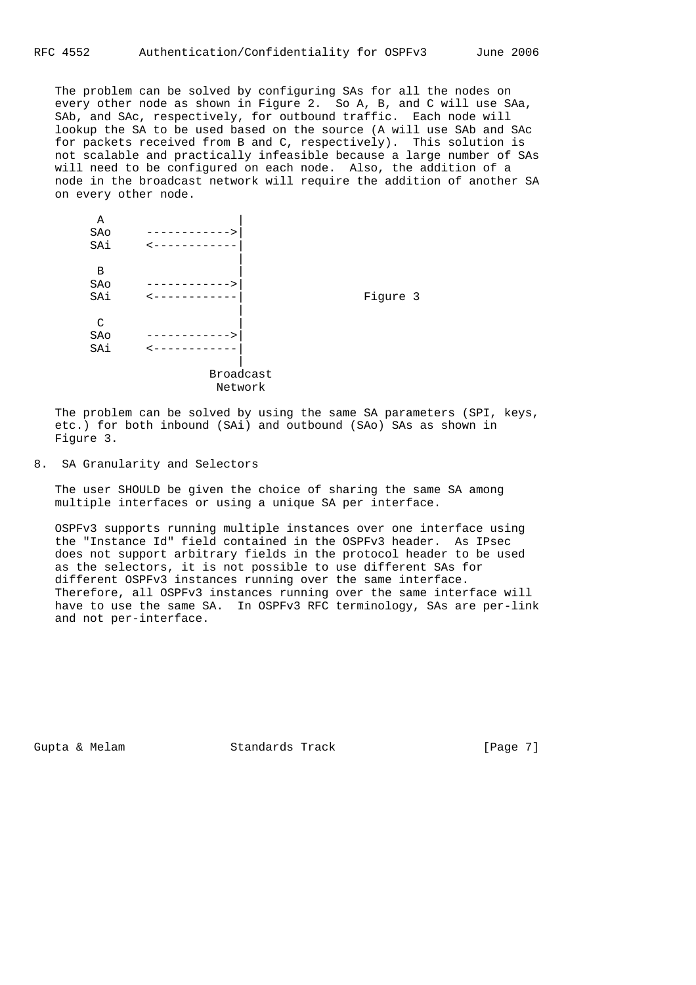The problem can be solved by configuring SAs for all the nodes on every other node as shown in Figure 2. So A, B, and C will use SAa, SAb, and SAc, respectively, for outbound traffic. Each node will lookup the SA to be used based on the source (A will use SAb and SAc for packets received from B and C, respectively). This solution is not scalable and practically infeasible because a large number of SAs will need to be configured on each node. Also, the addition of a node in the broadcast network will require the addition of another SA on every other node.

| Α   |   |           |          |
|-----|---|-----------|----------|
| SAo |   |           |          |
| SAi |   |           |          |
| В   |   |           |          |
| SAo | > |           |          |
| SAi |   |           | Figure 3 |
| C   |   |           |          |
| SAo |   |           |          |
| SAi |   |           |          |
|     |   |           |          |
|     |   | Broadcast |          |
|     |   | Network   |          |

 The problem can be solved by using the same SA parameters (SPI, keys, etc.) for both inbound (SAi) and outbound (SAo) SAs as shown in Figure 3.

8. SA Granularity and Selectors

 The user SHOULD be given the choice of sharing the same SA among multiple interfaces or using a unique SA per interface.

 OSPFv3 supports running multiple instances over one interface using the "Instance Id" field contained in the OSPFv3 header. As IPsec does not support arbitrary fields in the protocol header to be used as the selectors, it is not possible to use different SAs for different OSPFv3 instances running over the same interface. Therefore, all OSPFv3 instances running over the same interface will have to use the same SA. In OSPFv3 RFC terminology, SAs are per-link and not per-interface.

Gupta & Melam Standards Track [Page 7]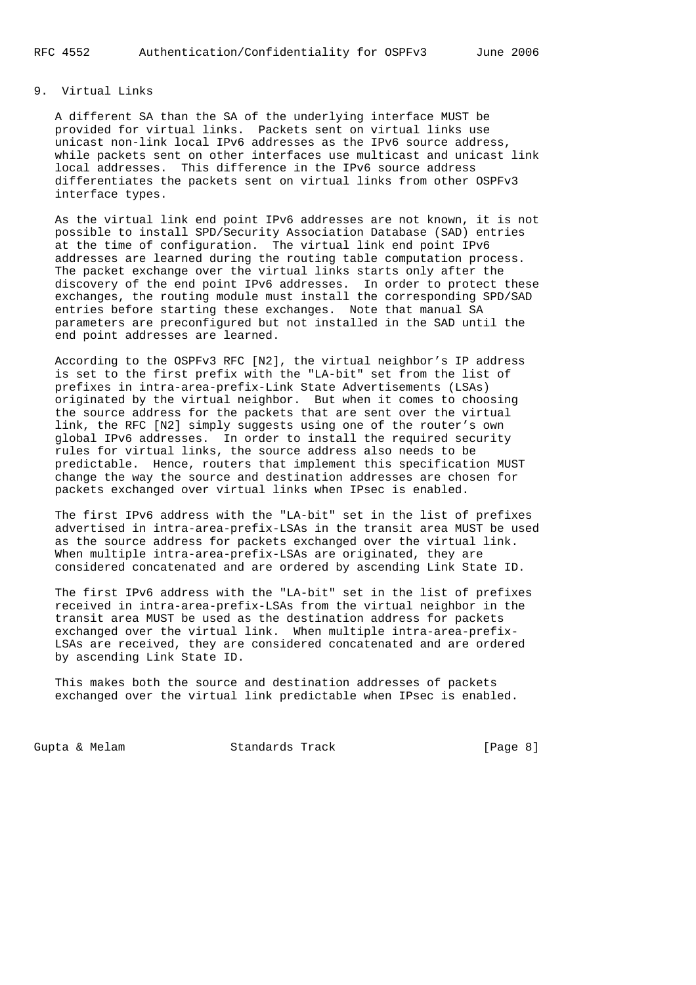# 9. Virtual Links

 A different SA than the SA of the underlying interface MUST be provided for virtual links. Packets sent on virtual links use unicast non-link local IPv6 addresses as the IPv6 source address, while packets sent on other interfaces use multicast and unicast link local addresses. This difference in the IPv6 source address differentiates the packets sent on virtual links from other OSPFv3 interface types.

 As the virtual link end point IPv6 addresses are not known, it is not possible to install SPD/Security Association Database (SAD) entries at the time of configuration. The virtual link end point IPv6 addresses are learned during the routing table computation process. The packet exchange over the virtual links starts only after the discovery of the end point IPv6 addresses. In order to protect these exchanges, the routing module must install the corresponding SPD/SAD entries before starting these exchanges. Note that manual SA parameters are preconfigured but not installed in the SAD until the end point addresses are learned.

 According to the OSPFv3 RFC [N2], the virtual neighbor's IP address is set to the first prefix with the "LA-bit" set from the list of prefixes in intra-area-prefix-Link State Advertisements (LSAs) originated by the virtual neighbor. But when it comes to choosing the source address for the packets that are sent over the virtual link, the RFC [N2] simply suggests using one of the router's own global IPv6 addresses. In order to install the required security rules for virtual links, the source address also needs to be predictable. Hence, routers that implement this specification MUST change the way the source and destination addresses are chosen for packets exchanged over virtual links when IPsec is enabled.

 The first IPv6 address with the "LA-bit" set in the list of prefixes advertised in intra-area-prefix-LSAs in the transit area MUST be used as the source address for packets exchanged over the virtual link. When multiple intra-area-prefix-LSAs are originated, they are considered concatenated and are ordered by ascending Link State ID.

 The first IPv6 address with the "LA-bit" set in the list of prefixes received in intra-area-prefix-LSAs from the virtual neighbor in the transit area MUST be used as the destination address for packets exchanged over the virtual link. When multiple intra-area-prefix- LSAs are received, they are considered concatenated and are ordered by ascending Link State ID.

 This makes both the source and destination addresses of packets exchanged over the virtual link predictable when IPsec is enabled.

Gupta & Melam Standards Track (Page 8)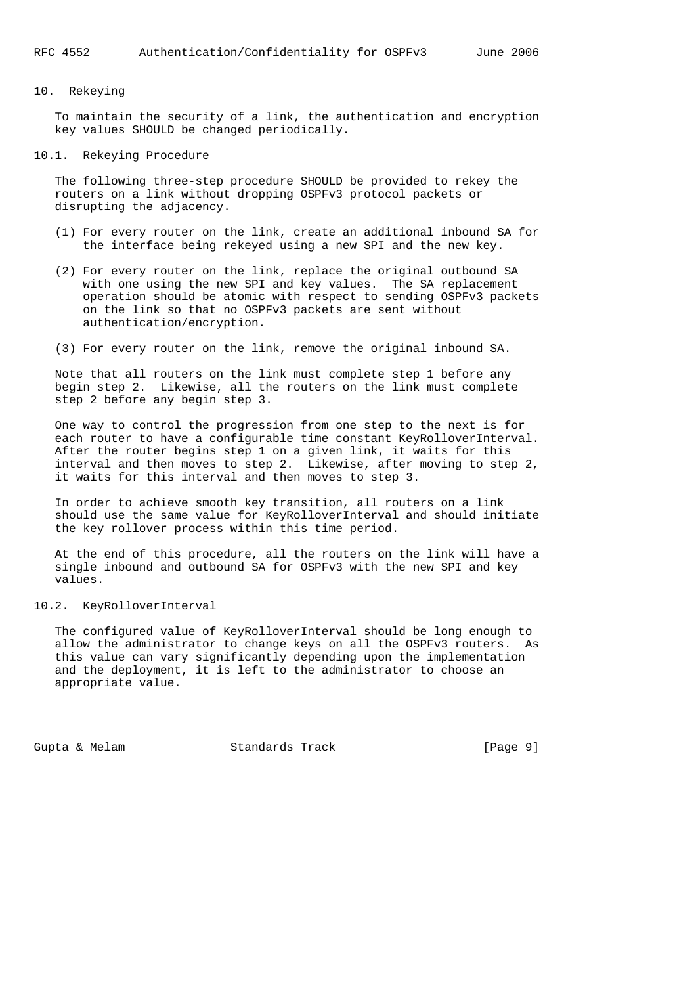### 10. Rekeying

 To maintain the security of a link, the authentication and encryption key values SHOULD be changed periodically.

#### 10.1. Rekeying Procedure

 The following three-step procedure SHOULD be provided to rekey the routers on a link without dropping OSPFv3 protocol packets or disrupting the adjacency.

- (1) For every router on the link, create an additional inbound SA for the interface being rekeyed using a new SPI and the new key.
- (2) For every router on the link, replace the original outbound SA with one using the new SPI and key values. The SA replacement operation should be atomic with respect to sending OSPFv3 packets on the link so that no OSPFv3 packets are sent without authentication/encryption.
- (3) For every router on the link, remove the original inbound SA.

 Note that all routers on the link must complete step 1 before any begin step 2. Likewise, all the routers on the link must complete step 2 before any begin step 3.

 One way to control the progression from one step to the next is for each router to have a configurable time constant KeyRolloverInterval. After the router begins step 1 on a given link, it waits for this interval and then moves to step 2. Likewise, after moving to step 2, it waits for this interval and then moves to step 3.

 In order to achieve smooth key transition, all routers on a link should use the same value for KeyRolloverInterval and should initiate the key rollover process within this time period.

 At the end of this procedure, all the routers on the link will have a single inbound and outbound SA for OSPFv3 with the new SPI and key values.

#### 10.2. KeyRolloverInterval

 The configured value of KeyRolloverInterval should be long enough to allow the administrator to change keys on all the OSPFv3 routers. As this value can vary significantly depending upon the implementation and the deployment, it is left to the administrator to choose an appropriate value.

Gupta & Melam Standards Track (Page 9)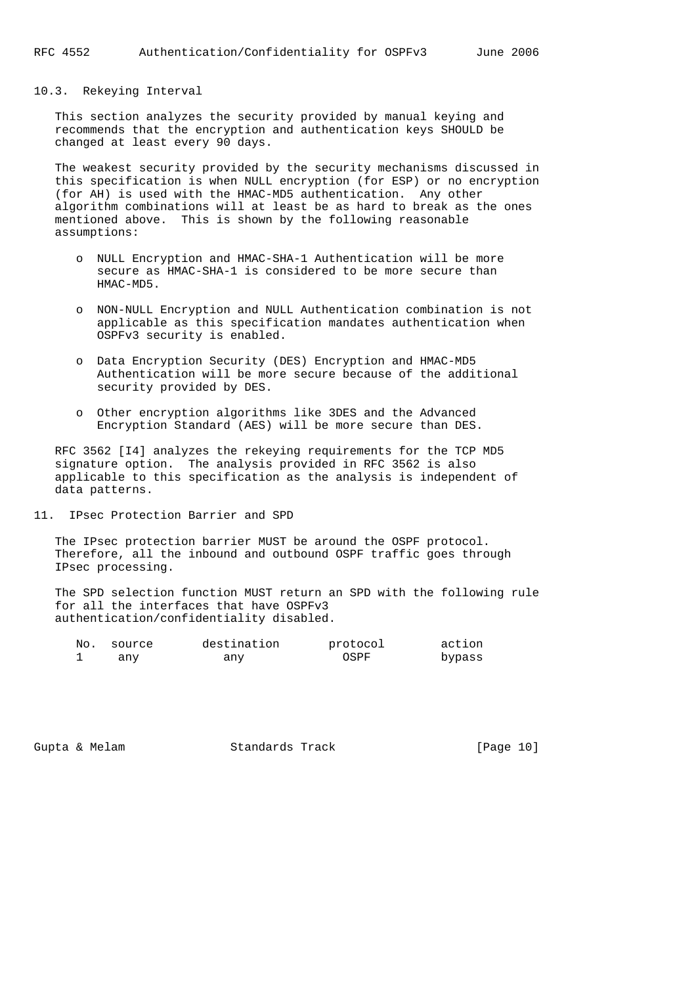#### 10.3. Rekeying Interval

 This section analyzes the security provided by manual keying and recommends that the encryption and authentication keys SHOULD be changed at least every 90 days.

 The weakest security provided by the security mechanisms discussed in this specification is when NULL encryption (for ESP) or no encryption (for AH) is used with the HMAC-MD5 authentication. Any other algorithm combinations will at least be as hard to break as the ones mentioned above. This is shown by the following reasonable assumptions:

- o NULL Encryption and HMAC-SHA-1 Authentication will be more secure as HMAC-SHA-1 is considered to be more secure than HMAC-MD5.
- o NON-NULL Encryption and NULL Authentication combination is not applicable as this specification mandates authentication when OSPFv3 security is enabled.
- o Data Encryption Security (DES) Encryption and HMAC-MD5 Authentication will be more secure because of the additional security provided by DES.
- o Other encryption algorithms like 3DES and the Advanced Encryption Standard (AES) will be more secure than DES.

 RFC 3562 [I4] analyzes the rekeying requirements for the TCP MD5 signature option. The analysis provided in RFC 3562 is also applicable to this specification as the analysis is independent of data patterns.

11. IPsec Protection Barrier and SPD

 The IPsec protection barrier MUST be around the OSPF protocol. Therefore, all the inbound and outbound OSPF traffic goes through IPsec processing.

 The SPD selection function MUST return an SPD with the following rule for all the interfaces that have OSPFv3 authentication/confidentiality disabled.

| No. | source | destination | protocol | action |
|-----|--------|-------------|----------|--------|
|     | anv    | any         | OSPF     | bypass |

Gupta & Melam  $Standards$  Track [Page 10]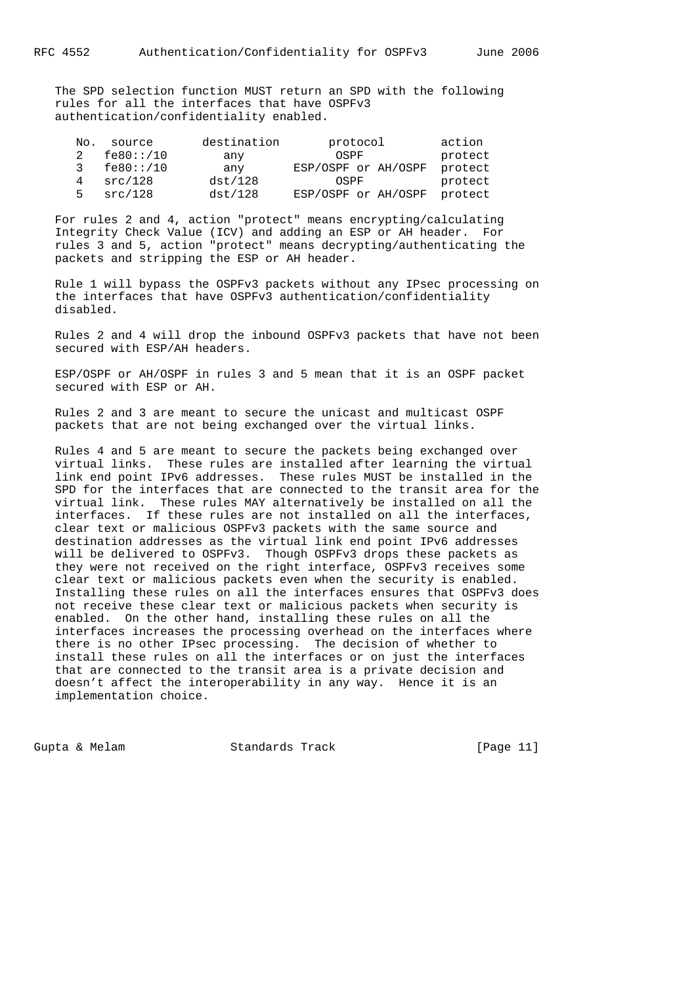The SPD selection function MUST return an SPD with the following rules for all the interfaces that have OSPFv3 authentication/confidentiality enabled.

| No. | source    | destination | protocol                    | action  |
|-----|-----------|-------------|-----------------------------|---------|
|     | fe80::/10 | any         | OSPF                        | protect |
|     |           | any         | ESP/OSPF or AH/OSPF         | protect |
| 4   | src/128   | dst/128     | OSPF                        | protect |
| 5.  | src/128   | dst/128     | ESP/OSPF or AH/OSPF protect |         |

 For rules 2 and 4, action "protect" means encrypting/calculating Integrity Check Value (ICV) and adding an ESP or AH header. For rules 3 and 5, action "protect" means decrypting/authenticating the packets and stripping the ESP or AH header.

 Rule 1 will bypass the OSPFv3 packets without any IPsec processing on the interfaces that have OSPFv3 authentication/confidentiality disabled.

 Rules 2 and 4 will drop the inbound OSPFv3 packets that have not been secured with ESP/AH headers.

 ESP/OSPF or AH/OSPF in rules 3 and 5 mean that it is an OSPF packet secured with ESP or AH.

 Rules 2 and 3 are meant to secure the unicast and multicast OSPF packets that are not being exchanged over the virtual links.

 Rules 4 and 5 are meant to secure the packets being exchanged over virtual links. These rules are installed after learning the virtual link end point IPv6 addresses. These rules MUST be installed in the SPD for the interfaces that are connected to the transit area for the virtual link. These rules MAY alternatively be installed on all the interfaces. If these rules are not installed on all the interfaces, clear text or malicious OSPFv3 packets with the same source and destination addresses as the virtual link end point IPv6 addresses will be delivered to OSPFv3. Though OSPFv3 drops these packets as they were not received on the right interface, OSPFv3 receives some clear text or malicious packets even when the security is enabled. Installing these rules on all the interfaces ensures that OSPFv3 does not receive these clear text or malicious packets when security is enabled. On the other hand, installing these rules on all the interfaces increases the processing overhead on the interfaces where there is no other IPsec processing. The decision of whether to install these rules on all the interfaces or on just the interfaces that are connected to the transit area is a private decision and doesn't affect the interoperability in any way. Hence it is an implementation choice.

Gupta & Melam  $Standards$  Track [Page 11]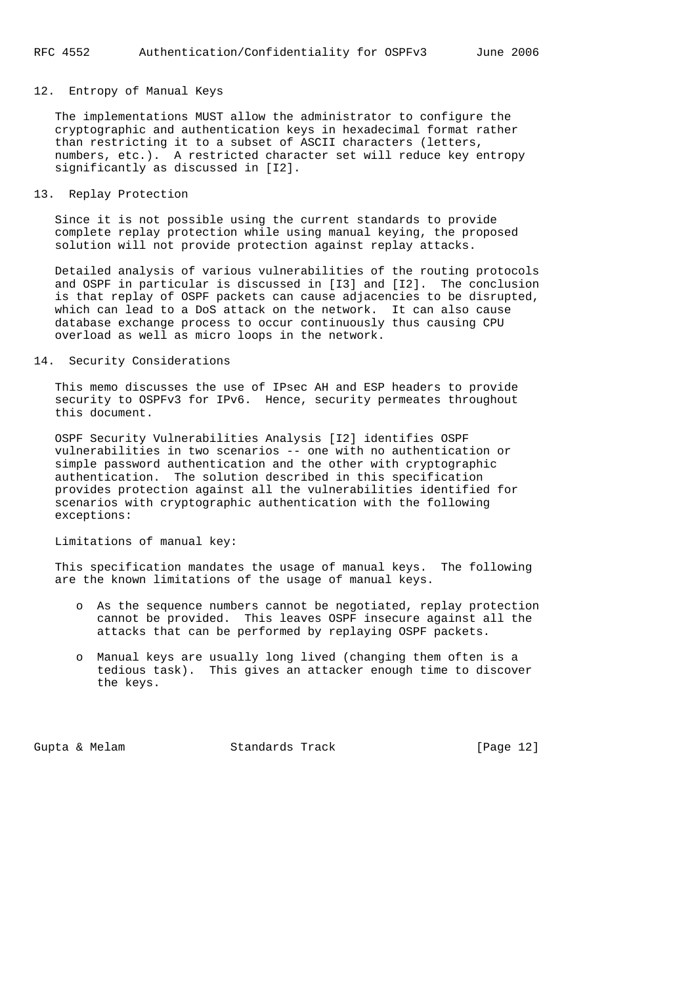## 12. Entropy of Manual Keys

 The implementations MUST allow the administrator to configure the cryptographic and authentication keys in hexadecimal format rather than restricting it to a subset of ASCII characters (letters, numbers, etc.). A restricted character set will reduce key entropy significantly as discussed in [I2].

## 13. Replay Protection

 Since it is not possible using the current standards to provide complete replay protection while using manual keying, the proposed solution will not provide protection against replay attacks.

 Detailed analysis of various vulnerabilities of the routing protocols and OSPF in particular is discussed in [I3] and [I2]. The conclusion is that replay of OSPF packets can cause adjacencies to be disrupted, which can lead to a DoS attack on the network. It can also cause database exchange process to occur continuously thus causing CPU overload as well as micro loops in the network.

## 14. Security Considerations

 This memo discusses the use of IPsec AH and ESP headers to provide security to OSPFv3 for IPv6. Hence, security permeates throughout this document.

 OSPF Security Vulnerabilities Analysis [I2] identifies OSPF vulnerabilities in two scenarios -- one with no authentication or simple password authentication and the other with cryptographic authentication. The solution described in this specification provides protection against all the vulnerabilities identified for scenarios with cryptographic authentication with the following exceptions:

## Limitations of manual key:

 This specification mandates the usage of manual keys. The following are the known limitations of the usage of manual keys.

- o As the sequence numbers cannot be negotiated, replay protection cannot be provided. This leaves OSPF insecure against all the attacks that can be performed by replaying OSPF packets.
- o Manual keys are usually long lived (changing them often is a tedious task). This gives an attacker enough time to discover the keys.

Gupta & Melam Standards Track [Page 12]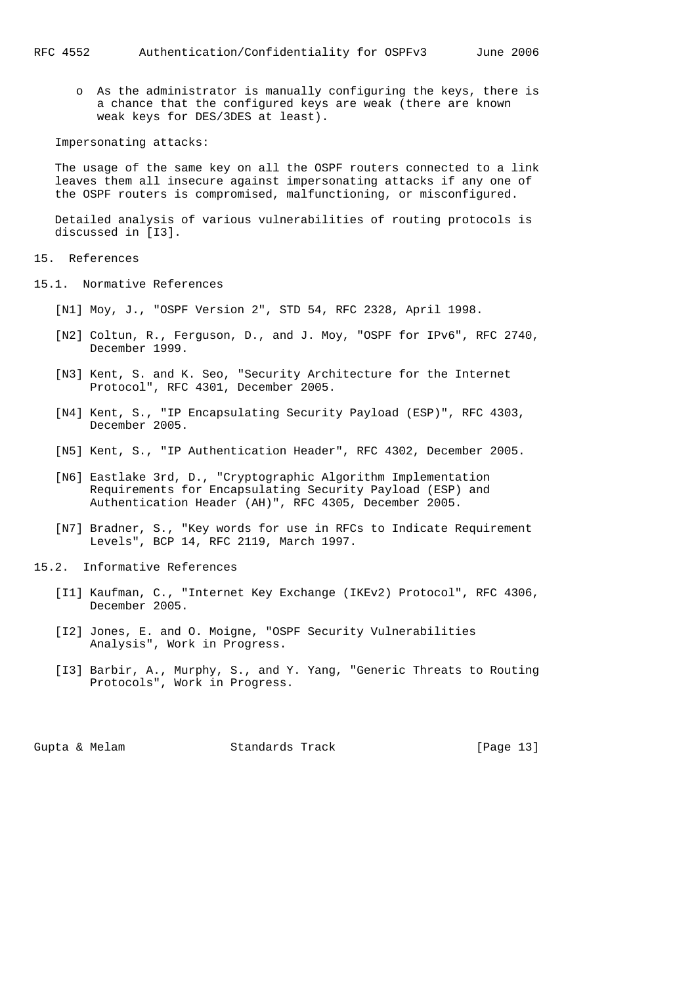o As the administrator is manually configuring the keys, there is a chance that the configured keys are weak (there are known weak keys for DES/3DES at least).

Impersonating attacks:

 The usage of the same key on all the OSPF routers connected to a link leaves them all insecure against impersonating attacks if any one of the OSPF routers is compromised, malfunctioning, or misconfigured.

 Detailed analysis of various vulnerabilities of routing protocols is discussed in [I3].

- 15. References
- 15.1. Normative References
	- [N1] Moy, J., "OSPF Version 2", STD 54, RFC 2328, April 1998.
	- [N2] Coltun, R., Ferguson, D., and J. Moy, "OSPF for IPv6", RFC 2740, December 1999.
- [N3] Kent, S. and K. Seo, "Security Architecture for the Internet Protocol", RFC 4301, December 2005.
	- [N4] Kent, S., "IP Encapsulating Security Payload (ESP)", RFC 4303, December 2005.
	- [N5] Kent, S., "IP Authentication Header", RFC 4302, December 2005.
	- [N6] Eastlake 3rd, D., "Cryptographic Algorithm Implementation Requirements for Encapsulating Security Payload (ESP) and Authentication Header (AH)", RFC 4305, December 2005.
	- [N7] Bradner, S., "Key words for use in RFCs to Indicate Requirement Levels", BCP 14, RFC 2119, March 1997.
- 15.2. Informative References
	- [I1] Kaufman, C., "Internet Key Exchange (IKEv2) Protocol", RFC 4306, December 2005.
	- [I2] Jones, E. and O. Moigne, "OSPF Security Vulnerabilities Analysis", Work in Progress.
	- [I3] Barbir, A., Murphy, S., and Y. Yang, "Generic Threats to Routing Protocols", Work in Progress.

Gupta & Melam  $Standards$  Track [Page 13]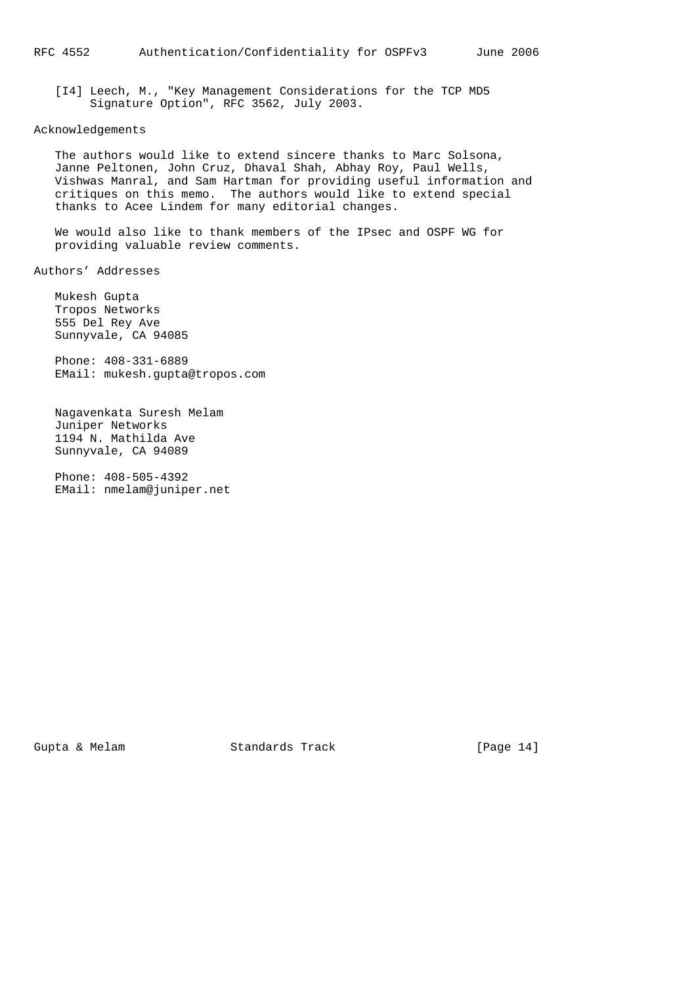[I4] Leech, M., "Key Management Considerations for the TCP MD5 Signature Option", RFC 3562, July 2003.

#### Acknowledgements

 The authors would like to extend sincere thanks to Marc Solsona, Janne Peltonen, John Cruz, Dhaval Shah, Abhay Roy, Paul Wells, Vishwas Manral, and Sam Hartman for providing useful information and critiques on this memo. The authors would like to extend special thanks to Acee Lindem for many editorial changes.

 We would also like to thank members of the IPsec and OSPF WG for providing valuable review comments.

Authors' Addresses

 Mukesh Gupta Tropos Networks 555 Del Rey Ave Sunnyvale, CA 94085

 Phone: 408-331-6889 EMail: mukesh.gupta@tropos.com

 Nagavenkata Suresh Melam Juniper Networks 1194 N. Mathilda Ave Sunnyvale, CA 94089

 Phone: 408-505-4392 EMail: nmelam@juniper.net

Gupta & Melam Standards Track [Page 14]